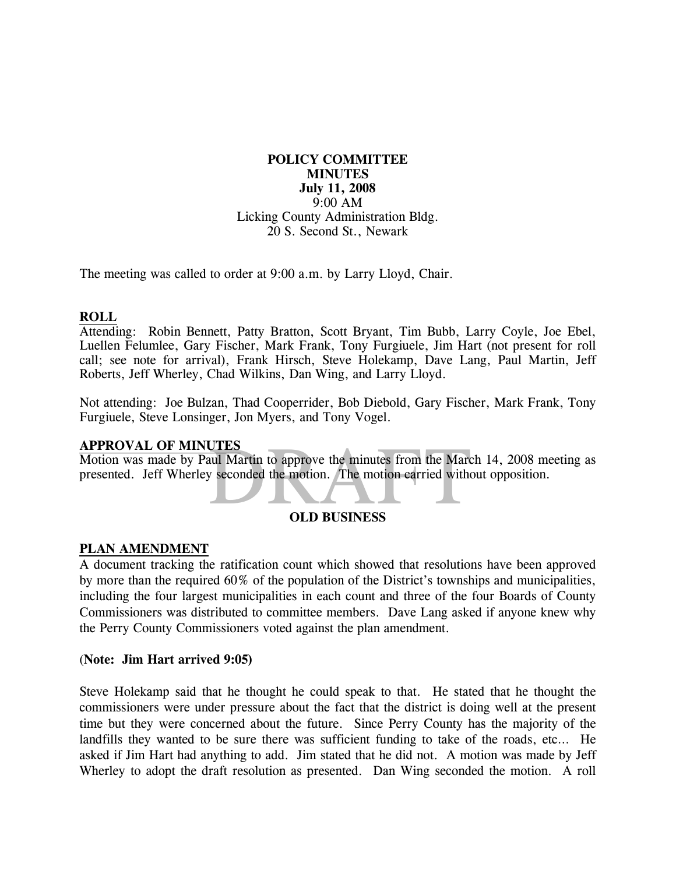## **POLICY COMMITTEE MINUTES July 11, 2008**  9:00 AM Licking County Administration Bldg. 20 S. Second St., Newark

The meeting was called to order at 9:00 a.m. by Larry Lloyd, Chair.

## **ROLL**

Attending: Robin Bennett, Patty Bratton, Scott Bryant, Tim Bubb, Larry Coyle, Joe Ebel, Luellen Felumlee, Gary Fischer, Mark Frank, Tony Furgiuele, Jim Hart (not present for roll call; see note for arrival), Frank Hirsch, Steve Holekamp, Dave Lang, Paul Martin, Jeff Roberts, Jeff Wherley, Chad Wilkins, Dan Wing, and Larry Lloyd.

Not attending: Joe Bulzan, Thad Cooperrider, Bob Diebold, Gary Fischer, Mark Frank, Tony Furgiuele, Steve Lonsinger, Jon Myers, and Tony Vogel.

## **APPROVAL OF MINUTES**

UTES<br>aul Martin to approve the minutes from the March<br>y seconded the motion. The motion carried with<br>OLD BUSINESS Motion was made by Paul Martin to approve the minutes from the March 14, 2008 meeting as presented. Jeff Wherley seconded the motion. The motion carried without opposition.



## **PLAN AMENDMENT**

A document tracking the ratification count which showed that resolutions have been approved by more than the required 60% of the population of the District's townships and municipalities, including the four largest municipalities in each count and three of the four Boards of County Commissioners was distributed to committee members. Dave Lang asked if anyone knew why the Perry County Commissioners voted against the plan amendment.

#### (**Note: Jim Hart arrived 9:05)**

Steve Holekamp said that he thought he could speak to that. He stated that he thought the commissioners were under pressure about the fact that the district is doing well at the present time but they were concerned about the future. Since Perry County has the majority of the landfills they wanted to be sure there was sufficient funding to take of the roads, etc… He asked if Jim Hart had anything to add. Jim stated that he did not. A motion was made by Jeff Wherley to adopt the draft resolution as presented. Dan Wing seconded the motion. A roll